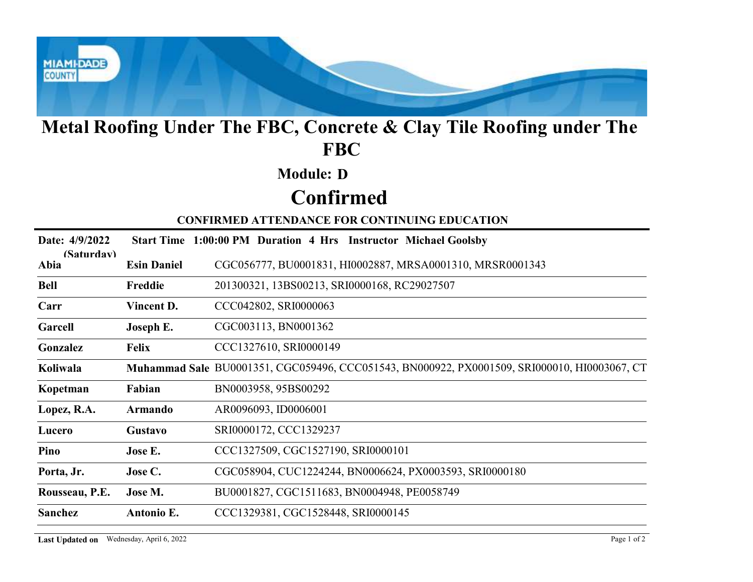

## Metal Roofing Under The FBC, Concrete & Clay Tile Roofing under The FBC

### Module: D

# Confirmed

| <b>Module: D</b><br><b>Confirmed</b><br><b>CONFIRMED ATTENDANCE FOR CONTINUING EDUCATION</b><br>Date: 4/9/2022<br>Start Time 1:00:00 PM Duration 4 Hrs Instructor Michael Goolsby<br>(Saturdav)<br>CGC056777, BU0001831, HI0002887, MRSA0001310, MRSR0001343<br><b>Esin Daniel</b><br>Abia<br>201300321, 13BS00213, SRI0000168, RC29027507<br><b>Bell</b><br>Freddie<br>Carr<br>Vincent D.<br>CCC042802, SRI0000063<br>CGC003113, BN0001362<br>Garcell<br>Joseph E.<br>CCC1327610, SRI0000149<br>Gonzalez<br><b>Felix</b><br>Muhammad Sale BU0001351, CGC059496, CCC051543, BN000922, PX0001509, SRI000010, HI0003067, CT<br>Koliwala<br>BN0003958, 95BS00292<br>Fabian<br>Kopetman<br>AR0096093, ID0006001<br>Lopez, R.A.<br><b>Armando</b><br>SRI0000172, CCC1329237<br>Gustavo<br>Lucero<br>CCC1327509, CGC1527190, SRI0000101<br>Pino<br>Jose E.<br>CGC058904, CUC1224244, BN0006624, PX0003593, SRI0000180<br>Porta, Jr.<br>Jose C.<br>BU0001827, CGC1511683, BN0004948, PE0058749<br>Rousseau, P.E.<br>Jose M.<br>Sanchez<br>Antonio E.<br>CCC1329381, CGC1528448, SRI0000145 |  | Metal Roofing Under The FBC, Concrete & Clay Tile Roofing under The<br><b>FBC</b> |
|-------------------------------------------------------------------------------------------------------------------------------------------------------------------------------------------------------------------------------------------------------------------------------------------------------------------------------------------------------------------------------------------------------------------------------------------------------------------------------------------------------------------------------------------------------------------------------------------------------------------------------------------------------------------------------------------------------------------------------------------------------------------------------------------------------------------------------------------------------------------------------------------------------------------------------------------------------------------------------------------------------------------------------------------------------------------------------------|--|-----------------------------------------------------------------------------------|
|                                                                                                                                                                                                                                                                                                                                                                                                                                                                                                                                                                                                                                                                                                                                                                                                                                                                                                                                                                                                                                                                                     |  |                                                                                   |
|                                                                                                                                                                                                                                                                                                                                                                                                                                                                                                                                                                                                                                                                                                                                                                                                                                                                                                                                                                                                                                                                                     |  |                                                                                   |
|                                                                                                                                                                                                                                                                                                                                                                                                                                                                                                                                                                                                                                                                                                                                                                                                                                                                                                                                                                                                                                                                                     |  |                                                                                   |
|                                                                                                                                                                                                                                                                                                                                                                                                                                                                                                                                                                                                                                                                                                                                                                                                                                                                                                                                                                                                                                                                                     |  |                                                                                   |
|                                                                                                                                                                                                                                                                                                                                                                                                                                                                                                                                                                                                                                                                                                                                                                                                                                                                                                                                                                                                                                                                                     |  |                                                                                   |
|                                                                                                                                                                                                                                                                                                                                                                                                                                                                                                                                                                                                                                                                                                                                                                                                                                                                                                                                                                                                                                                                                     |  |                                                                                   |
|                                                                                                                                                                                                                                                                                                                                                                                                                                                                                                                                                                                                                                                                                                                                                                                                                                                                                                                                                                                                                                                                                     |  |                                                                                   |
|                                                                                                                                                                                                                                                                                                                                                                                                                                                                                                                                                                                                                                                                                                                                                                                                                                                                                                                                                                                                                                                                                     |  |                                                                                   |
|                                                                                                                                                                                                                                                                                                                                                                                                                                                                                                                                                                                                                                                                                                                                                                                                                                                                                                                                                                                                                                                                                     |  |                                                                                   |
|                                                                                                                                                                                                                                                                                                                                                                                                                                                                                                                                                                                                                                                                                                                                                                                                                                                                                                                                                                                                                                                                                     |  |                                                                                   |
|                                                                                                                                                                                                                                                                                                                                                                                                                                                                                                                                                                                                                                                                                                                                                                                                                                                                                                                                                                                                                                                                                     |  |                                                                                   |
|                                                                                                                                                                                                                                                                                                                                                                                                                                                                                                                                                                                                                                                                                                                                                                                                                                                                                                                                                                                                                                                                                     |  |                                                                                   |
|                                                                                                                                                                                                                                                                                                                                                                                                                                                                                                                                                                                                                                                                                                                                                                                                                                                                                                                                                                                                                                                                                     |  |                                                                                   |
|                                                                                                                                                                                                                                                                                                                                                                                                                                                                                                                                                                                                                                                                                                                                                                                                                                                                                                                                                                                                                                                                                     |  |                                                                                   |
|                                                                                                                                                                                                                                                                                                                                                                                                                                                                                                                                                                                                                                                                                                                                                                                                                                                                                                                                                                                                                                                                                     |  |                                                                                   |
|                                                                                                                                                                                                                                                                                                                                                                                                                                                                                                                                                                                                                                                                                                                                                                                                                                                                                                                                                                                                                                                                                     |  |                                                                                   |
|                                                                                                                                                                                                                                                                                                                                                                                                                                                                                                                                                                                                                                                                                                                                                                                                                                                                                                                                                                                                                                                                                     |  |                                                                                   |